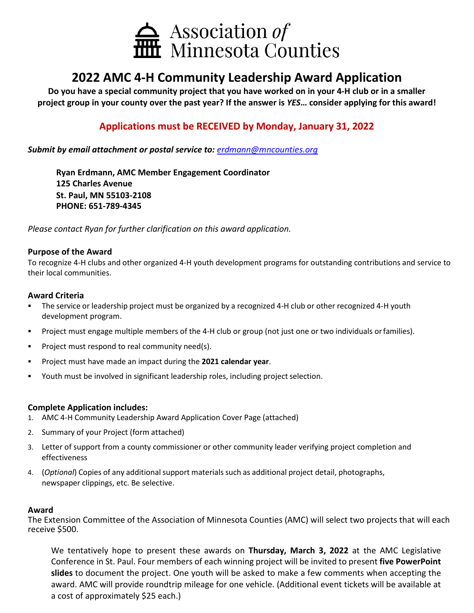

# **2022 AMC 4-H Community Leadership Award Application**

**Do you have a special community project that you have worked on in your 4-H club or in a smaller project group in your county over the past year? If the answer is** *YES***… consider applying for this award!**

### **Applications must be RECEIVED by Monday, January 31, 2022**

#### *Submit by email attachment or postal service to: [erdmann@mncounties.org](mailto:erdmann@mncounties.org)*

**Ryan Erdmann, AMC Member Engagement Coordinator 125 Charles Avenue St. Paul, MN 55103-2108 PHONE: 651-789-4345**

*Please contact Ryan for further clarification on this award application.*

#### **Purpose of the Award**

To recognize 4-H clubs and other organized 4-H youth development programs for outstanding contributions and service to their local communities.

#### **Award Criteria**

- The service or leadership project must be organized by a recognized 4-H club or other recognized 4-H youth development program.
- Project must engage multiple members of the 4-H club or group (not just one or two individuals orfamilies).
- **Project must respond to real community need(s).**
- Project must have made an impact during the **2021 calendar year**.
- Youth must be involved in significant leadership roles, including project selection.

#### **Complete Application includes:**

- 1. AMC 4-H Community Leadership Award Application Cover Page (attached)
- 2. Summary of your Project (form attached)
- 3. Letter of support from a county commissioner or other community leader verifying project completion and effectiveness
- 4. (*Optional*) Copies of any additional support materials such as additional project detail, photographs, newspaper clippings, etc. Be selective.

#### **Award**

The Extension Committee of the Association of Minnesota Counties (AMC) will select two projects that will each receive \$500.

We tentatively hope to present these awards on **Thursday, March 3, 2022** at the AMC Legislative Conference in St. Paul. Four members of each winning project will be invited to present **five PowerPoint slides** to document the project. One youth will be asked to make a few comments when accepting the award. AMC will provide roundtrip mileage for one vehicle. (Additional event tickets will be available at a cost of approximately \$25 each.)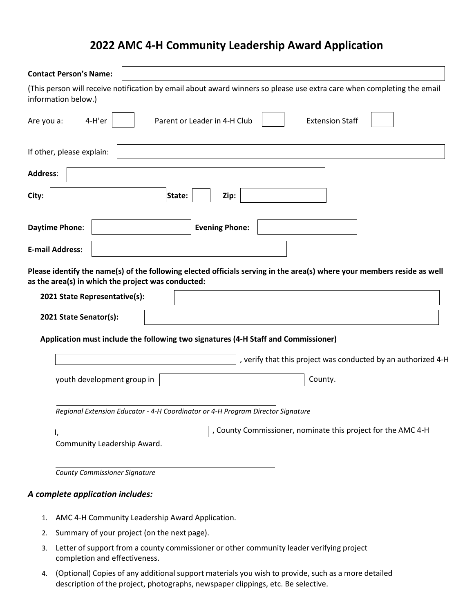## **2022 AMC 4-H Community Leadership Award Application**

| <b>Contact Person's Name:</b>    |                                                                                                                                                                               |
|----------------------------------|-------------------------------------------------------------------------------------------------------------------------------------------------------------------------------|
| information below.)              | (This person will receive notification by email about award winners so please use extra care when completing the email                                                        |
| 4-H'er<br>Are you a:             | Parent or Leader in 4-H Club<br><b>Extension Staff</b>                                                                                                                        |
| If other, please explain:        |                                                                                                                                                                               |
| <b>Address:</b>                  |                                                                                                                                                                               |
| City:                            | State:<br>Zip:                                                                                                                                                                |
| Daytime Phone:                   | <b>Evening Phone:</b>                                                                                                                                                         |
| <b>E-mail Address:</b>           |                                                                                                                                                                               |
| 2021 State Representative(s):    | Please identify the name(s) of the following elected officials serving in the area(s) where your members reside as well<br>as the area(s) in which the project was conducted: |
| 2021 State Senator(s):           |                                                                                                                                                                               |
|                                  | Application must include the following two signatures (4-H Staff and Commissioner)                                                                                            |
|                                  | , verify that this project was conducted by an authorized 4-H                                                                                                                 |
|                                  | County.<br>youth development group in                                                                                                                                         |
|                                  | Regional Extension Educator - 4-H Coordinator or 4-H Program Director Signature                                                                                               |
| ۱,                               | , County Commissioner, nominate this project for the AMC 4-H                                                                                                                  |
|                                  | Community Leadership Award.                                                                                                                                                   |
|                                  | <b>County Commissioner Signature</b>                                                                                                                                          |
| A complete application includes: |                                                                                                                                                                               |

- 1. AMC 4-H Community Leadership Award Application.
- 2. Summary of your project (on the next page).
- 3. Letter of support from a county commissioner or other community leader verifying project completion and effectiveness.
- 4. (Optional) Copies of any additional support materials you wish to provide, such as a more detailed description of the project, photographs, newspaper clippings, etc. Be selective.